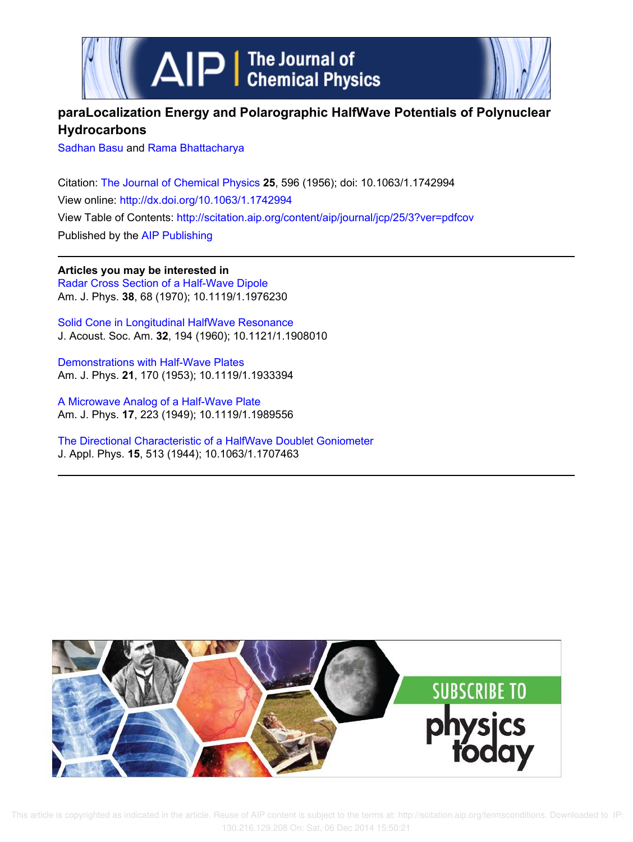



## **paraLocalization Energy and Polarographic HalfWave Potentials of Polynuclear Hydrocarbons**

Sadhan Basu and Rama Bhattacharya

Citation: The Journal of Chemical Physics **25**, 596 (1956); doi: 10.1063/1.1742994 View online: http://dx.doi.org/10.1063/1.1742994 View Table of Contents: http://scitation.aip.org/content/aip/journal/jcp/25/3?ver=pdfcov Published by the AIP Publishing

**Articles you may be interested in** Radar Cross Section of a Half-Wave Dipole Am. J. Phys. **38**, 68 (1970); 10.1119/1.1976230

Solid Cone in Longitudinal HalfWave Resonance J. Acoust. Soc. Am. **32**, 194 (1960); 10.1121/1.1908010

Demonstrations with Half-Wave Plates Am. J. Phys. **21**, 170 (1953); 10.1119/1.1933394

A Microwave Analog of a Half-Wave Plate Am. J. Phys. **17**, 223 (1949); 10.1119/1.1989556

The Directional Characteristic of a HalfWave Doublet Goniometer J. Appl. Phys. **15**, 513 (1944); 10.1063/1.1707463



 This article is copyrighted as indicated in the article. Reuse of AIP content is subject to the terms at: http://scitation.aip.org/termsconditions. Downloaded to IP: 130.216.129.208 On: Sat, 06 Dec 2014 15:50:21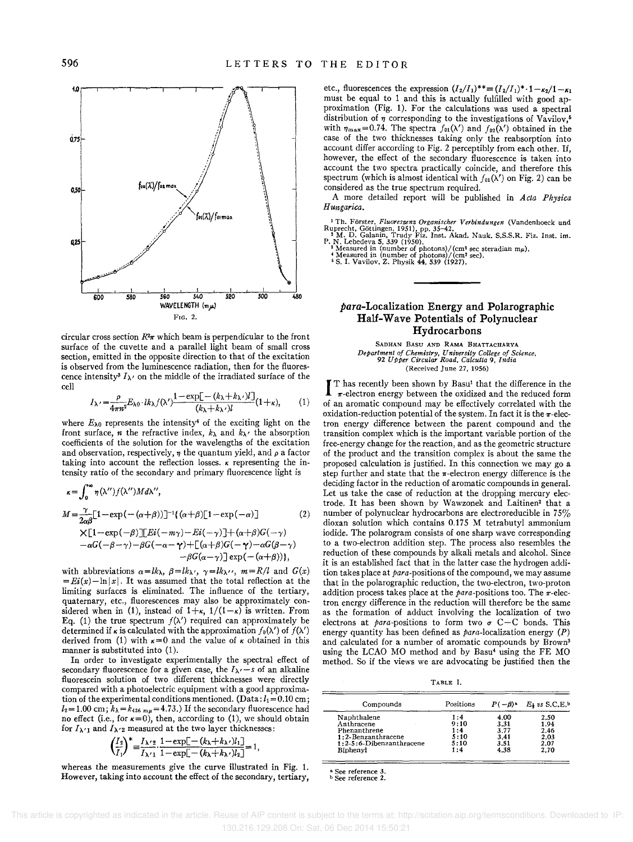

circular cross section  $R^2\pi$  which beam is perpendicular to the front surface of the cuvette and a parallel light beam of small cross section, emitted in the opposite direction to that of the excitation is observed from the luminescence radiation, then for the fluorescence intensity<sup>3</sup>  $I_{\lambda}$  on the middle of the irradiated surface of the cell

$$
I_{\lambda'} = \frac{\rho}{4\pi n^2} E_{\lambda 0} \cdot lk_{\lambda} f(\lambda') \frac{1 - \exp[-(k_{\lambda} + k_{\lambda'})L]}{(k_{\lambda} + k_{\lambda'})L} (1 + \kappa), \quad (1)
$$

where  $E_{\lambda 0}$  represents the intensity<sup>4</sup> of the exciting light on the front surface, *n* the refractive index,  $k_{\lambda}$  and  $k_{\lambda}$ , the absorption coefficients of the solution for the wavelengths of the excitation and observation, respectively,  $\eta$  the quantum yield, and  $\rho$  a factor taking into account the reflection losses.  $\kappa$  representing the intensity ratio of the secondary and primary fluorescence light is

$$
\kappa = \int_0^\infty \eta(\lambda'') f(\lambda'') M d\lambda'',
$$
  
\n
$$
M = \frac{\gamma}{2\alpha \beta} [1 - \exp(-(\alpha + \beta))]^{-1} \{ (\alpha + \beta) [1 - \exp(-\alpha)] \} \tag{2}
$$
  
\n
$$
\times [1 - \exp(-\beta)] [Ei(-m\gamma) - Ei(-\gamma)] + (\alpha + \beta)G(-\gamma) -\alpha G(-\beta - \gamma) - \beta G(-\alpha - \gamma) + [(\alpha + \beta)G(-\gamma) - \alpha G(\beta - \gamma) - \beta G(\alpha - \gamma)] \exp(-(\alpha + \beta)) \},
$$

with abbreviations  $\alpha = lk_{\lambda}$ ,  $\beta = lk_{\lambda'}$ ,  $\gamma = lk_{\lambda''}$ ,  $m = R/l$  and  $G(x)$  $=Ei(x)-\ln|x|$ . It was assumed that the total reflection at the limiting surfaces is eliminated. The influence of the tertiary, quaternary, etc., fluorescences may also be approximately considered when in (1), instead of  $1+\kappa$ ,  $1/(1-\kappa)$  is written. From Eq. (1) the true spectrum  $f(\lambda')$  required can approximately be determined if  $\kappa$  is calculated with the approximation  $f_0(\lambda')$  of  $f(\lambda')$ derived from (1) with  $\kappa=0$  and the value of  $\kappa$  obtained in this manner is substituted into (1).

In order to investigate experimentally the spectral effect of secondary fluorescence for a given case, the  $I_{\lambda}$ -s of an alkaline fluorescein solution of two different thicknesses were directly compared with a photoelectric equipment with a good approximation of the experimental conditions mentioned. (Data:  $l_1 = 0.10$  cm;  $l_2 = 1.00 \text{ cm}$ ;  $k_\lambda = k_{436 \text{ m}\mu} = 4.73$ .) If the secondary fluorescence had no effect (i.e., for  $\kappa=0$ ), then, according to (1), we should obtain for  $I_{\lambda'1}$  and  $I_{\lambda'2}$  measured at the two layer thicknesses:

$$
\left(\frac{I_2}{I_1}\right)^* = \frac{I_{\lambda/2}}{I_{\lambda/1}} \cdot \frac{1 - \exp[-(k_{\lambda} + k_{\lambda'})l_1]}{1 - \exp[-(k_{\lambda} + k_{\lambda'})l_2]} = 1,
$$

whereas the measurements give the curve illustrated in Fig. 1. However, taking into account the effect of the secondary, tertiary, etc., fluorescences the expression  $(I_2/I_1)^{**} = (I_2/I_1)^* \cdot 1 - \kappa_2/I - \kappa_1$ must be equal to 1 and this is actually fulfilled with good approximation (Fig. 1). For the calculations was used a spectral distribution of  $\eta$  corresponding to the investigations of Vavilov,<sup>6</sup> with  $\eta_{\text{max}}=0.74$ . The spectra  $f_{01}(\lambda')$  and  $f_{02}(\lambda')$  obtained in the case of the two thicknesses taking only the reabsorption into account differ according to Fig. 2 perceptibly from each other. If, however, the effect of the secondary fluorescence is taken into account the two spectra practically coincide, and therefore this spectrum (which is almost identical with  $f_{01}(\lambda')$  on Fig. 2) can be considered as the true spectrum required.

A more detailed report will be published in *Acta Physica Hungarica .* 

<sup>1</sup>Th. Förster, *Fluoreszenz Organischer Verbindungen* (Vandenhoeck und Ruprecht, Göttingen, 1951), pp. 35–42.<br>
<sup>2</sup>M. D. Galanin, Trudy Fiz. Inst. Akad. Nauk. S.S.S.R. Fiz. Inst. im.<br>
P. N. Lebedeva 5, 339 (1950).<br>
<sup>3</sup> Me

## **para-Localization Energy and Polarographic Half-Wave Potentials of Polynuclear Hydrocarbons**

SADHAN BASU AND RAMA BHATTACHARYA *Department of Chemistry, University College of Science, 92 Upper Circular Road, Calcutta* 9, *India*  (Received June 27, 1956)

 $\int_{-\pi}^{\pi}$  T has recently been shown by Basu<sup>1</sup> that the difference in the  $\pi$ -electron energy between the oxidized and the reduced form of an aromatic compound may be effectively correlated with the T has recently been shown by Basul that the difference in the  $\pi$ -electron energy between the oxidized and the reduced form oxidation-reduction potential of the system. In fact it is the  $\pi$ -electron energy difference between the parent compound and the transition complex which is the important variable portion of the free-energy change for the reaction, and as the geometric structure of the product and the transition complex is about the same the proposed calculation is justified. In this connection we may go a step further and state that the  $\pi$ -electron energy difference is the deciding factor in the reduction of aromatic compounds in general. Let us take the case of reduction at the dropping mercury electrode, It has been shown by Wawzonek and Laitinen' that a number of polynuclear hydrocarbons are electroreducible in 75% dioxan solution which contains 0.175 M tetrabutyl ammonium iodide. The polarogram consists of one sharp wave corresponding to a two-electron addition step. The process also resembles the reduction of these compounds by alkali metals and alcohol. Since it is an established fact that in the latter case the hydrogen addition takes place at para-positions of the compound, we may assume that in the polarographic reduction, the two-electron, two-proton addition process takes place at the para-positions too. The  $\pi$ -electron energy difference in the reduction will therefore be the same as the formation of adduct involving the localization of two electrons at *para*-positions to form two  $\sigma$  C-C bonds. This energy quantity has been defined as  $para$ -localization energy  $(P)$ and calculated for a number of aromatic compounds by Brown<sup>3</sup> using the LCAO MO method and by Basu' using the FE MO method. So if the views we are advocating be justified then the

TABLE 1.

| Compounds                | Positions | $P(-\beta)^a$ | $E_1$ vs S.C.E.b |  |
|--------------------------|-----------|---------------|------------------|--|
| Naphthalene              | 1:4       | 4.00          | 2.50             |  |
| Anthracene               | 9:10      | 3.31          | 1.94             |  |
| Phenanthrene             | 1:4       | 3.77          | 2.46             |  |
| 1:2-Benzanthracene       | 5:10      | 3.41          | 2.03             |  |
| 1:2-5:6-Dibenzanthracene | 5:10      | 3.51          | 2.07             |  |
| Biphenyl                 | 1:4       | 4.38          | 2.70             |  |

**a. See reference 3.**  <sup>b</sup>**See reference 2.**